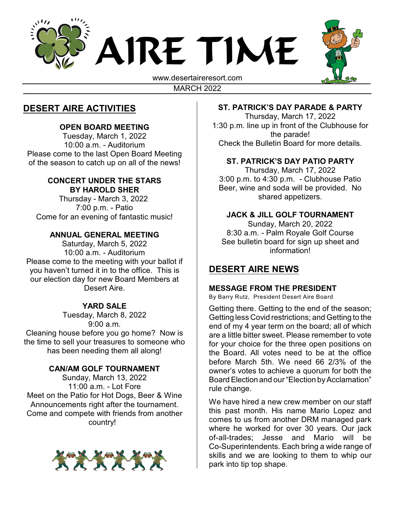



www.desertaireresort.com MARCH 2022

# **DESERT AIRE ACTIVITIES**

# **OPEN BOARD MEETING**

Tuesday, March 1, 2022 10:00 a.m. - Auditorium Please come to the last Open Board Meeting of the season to catch up on all of the news!

#### **CONCERT UNDER THE STARS BY HAROLD SHER**

Thursday - March 3, 2022 7:00 p.m. - Patio Come for an evening of fantastic music!

### **ANNUAL GENERAL MEETING**

Saturday, March 5, 2022 10:00 a.m. - Auditorium Please come to the meeting with your ballot if you haven't turned it in to the office. This is our election day for new Board Members at Desert Aire.

# **YARD SALE**

Tuesday, March 8, 2022 9:00 a.m.

Cleaning house before you go home? Now is the time to sell your treasures to someone who has been needing them all along!

#### **CAN/AM GOLF TOURNAMENT**

Sunday, March 13, 2022 11:00 a.m. - Lot Fore Meet on the Patio for Hot Dogs, Beer & Wine Announcements right after the tournament. Come and compete with friends from another country!



# **ST. PATRICK'S DAY PARADE & PARTY**

Thursday, March 17, 2022 1:30 p.m. line up in front of the Clubhouse for the parade! Check the Bulletin Board for more details.

# **ST. PATRICK'S DAY PATIO PARTY**

Thursday, March 17, 2022 3:00 p.m. to 4:30 p.m. - Clubhouse Patio Beer, wine and soda will be provided. No shared appetizers.

### **JACK & JILL GOLF TOURNAMENT**

Sunday, March 20, 2022 8:30 a.m. - Palm Royale Golf Course See bulletin board for sign up sheet and information!

# **DESERT AIRE NEWS**

#### **MESSAGE FROM THE PRESIDENT**

By Barry Rutz, President Desert Aire Board

Getting there. Getting to the end of the season; Getting less Covid restrictions; and Getting to the end of my 4 year term on the board; all of which are a little bitter sweet. Please remember to vote for your choice for the three open positions on the Board. All votes need to be at the office before March 5th. We need 66 2/3% of the owner's votes to achieve a quorum for both the Board Election and our "Election by Acclamation" rule change.

We have hired a new crew member on our staff this past month. His name Mario Lopez and comes to us from another DRM managed park where he worked for over 30 years. Our jack of-all-trades; Jesse and Mario will be Co-Superintendents. Each bring a wide range of skills and we are looking to them to whip our park into tip top shape.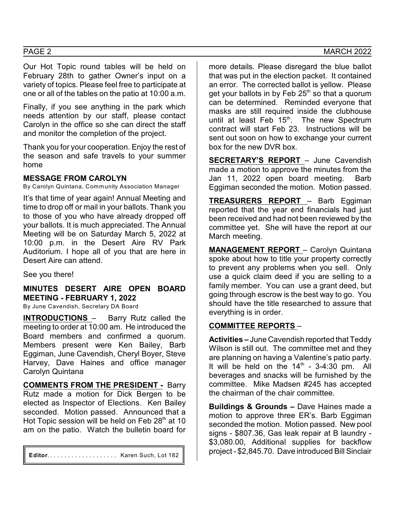Our Hot Topic round tables will be held on February 28th to gather Owner's input on a variety of topics. Please feel free to participate at one or all of the tables on the patio at 10:00 a.m.

Finally, if you see anything in the park which needs attention by our staff, please contact Carolyn in the office so she can direct the staff and monitor the completion of the project.

Thank you for your cooperation. Enjoy the rest of the season and safe travels to your summer home

#### **MESSAGE FROM CAROLYN**

By Carolyn Quintana, Community Association Manager

It's that time of year again! Annual Meeting and time to drop off or mail in your ballots. Thank you to those of you who have already dropped off your ballots. It is much appreciated. The Annual Meeting will be on Saturday March 5, 2022 at 10:00 p.m. in the Desert Aire RV Park Auditorium. I hope all of you that are here in Desert Aire can attend.

See you there!

**MINUTES DESERT AIRE OPEN BOARD MEETING - FEBRUARY 1, 2022** By June Cavendish, Secretary DA Board

**INTRODUCTIONS** – Barry Rutz called the meeting to order at 10:00 am. He introduced the Board members and confirmed a quorum. Members present were Ken Bailey, Barb Eggiman, June Cavendish, Cheryl Boyer, Steve Harvey, Dave Haines and office manager Carolyn Quintana

**COMMENTS FROM THE PRESIDENT -** Barry Rutz made a motion for Dick Bergen to be elected as Inspector of Elections. Ken Bailey seconded. Motion passed. Announced that a Hot Topic session will be held on Feb  $28<sup>th</sup>$  at 10 am on the patio. Watch the bulletin board for

more details. Please disregard the blue ballot that was put in the election packet. It contained an error. The corrected ballot is yellow. Please get your ballots in by Feb  $25<sup>th</sup>$  so that a quorum can be determined. Reminded everyone that masks are still required inside the clubhouse until at least Feb  $15<sup>th</sup>$ . The new Spectrum contract will start Feb 23. Instructions will be sent out soon on how to exchange your current box for the new DVR box.

**SECRETARY'S REPORT** – June Cavendish made a motion to approve the minutes from the Jan 11, 2022 open board meeting. Barb Eggiman seconded the motion. Motion passed.

**TREASURERS REPORT** – Barb Eggiman reported that the year end financials had just been received and had not been reviewed by the committee yet. She will have the report at our March meeting.

**MANAGEMENT REPORT** – Carolyn Quintana spoke about how to title your property correctly to prevent any problems when you sell. Only use a quick claim deed if you are selling to a family member. You can use a grant deed, but going through escrow is the best way to go. You should have the title researched to assure that everything is in order.

# **COMMITTEE REPORTS** –

**Activities –** June Cavendish reported that Teddy Wilson is still out. The committee met and they are planning on having a Valentine's patio party. It will be held on the  $14<sup>th</sup>$  - 3-4:30 pm. All beverages and snacks will be furnished by the committee. Mike Madsen #245 has accepted the chairman of the chair committee.

**Buildings & Grounds –** Dave Haines made a motion to approve three ER's. Barb Eggiman seconded the motion. Motion passed. New pool signs - \$807.36, Gas leak repair at B laundry - \$3,080.00, Additional supplies for backflow project - \$2,845.70. Dave introduced Bill Sinclair **Editor**. ... ... ... ... ... ... . Karen Such, Lot 182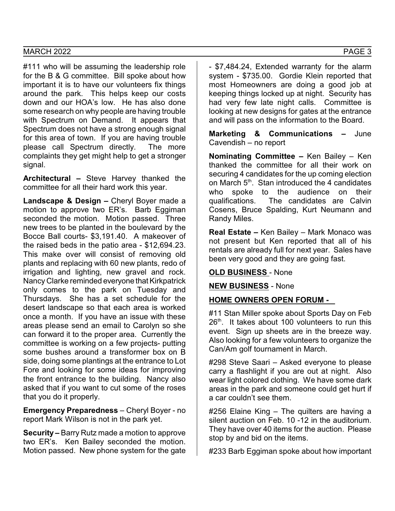#111 who will be assuming the leadership role for the B & G committee. Bill spoke about how important it is to have our volunteers fix things around the park. This helps keep our costs down and our HOA's low. He has also done some research on why people are having trouble with Spectrum on Demand. It appears that Spectrum does not have a strong enough signal for this area of town. If you are having trouble please call Spectrum directly. The more complaints they get might help to get a stronger signal.

**Architectural –** Steve Harvey thanked the committee for all their hard work this year.

**Landscape & Design –** Cheryl Boyer made a motion to approve two ER's. Barb Eggiman seconded the motion. Motion passed. Three new trees to be planted in the boulevard by the Bocce Ball courts- \$3,191.40. A makeover of the raised beds in the patio area - \$12,694.23. This make over will consist of removing old plants and replacing with 60 new plants, redo of irrigation and lighting, new gravel and rock. Nancy Clarke reminded everyone that Kirkpatrick only comes to the park on Tuesday and Thursdays. She has a set schedule for the desert landscape so that each area is worked once a month. If you have an issue with these areas please send an email to Carolyn so she can forward it to the proper area. Currently the committee is working on a few projects- putting some bushes around a transformer box on B side, doing some plantings at the entrance to Lot Fore and looking for some ideas for improving the front entrance to the building. Nancy also asked that if you want to cut some of the roses that you do it properly.

**Emergency Preparedness** – Cheryl Boyer - no report Mark Wilson is not in the park yet.

**Security –** Barry Rutz made a motion to approve two ER's. Ken Bailey seconded the motion. Motion passed. New phone system for the gate - \$7,484.24, Extended warranty for the alarm system - \$735.00. Gordie Klein reported that most Homeowners are doing a good job at keeping things locked up at night. Security has had very few late night calls. Committee is looking at new designs for gates at the entrance and will pass on the information to the Board.

**Marketing & Communications –** June Cavendish – no report

**Nominating Committee –** Ken Bailey – Ken thanked the committee for all their work on securing 4 candidates for the up coming election on March  $5<sup>th</sup>$ . Stan introduced the 4 candidates who spoke to the audience on their qualifications. The candidates are Calvin Cosens, Bruce Spalding, Kurt Neumann and Randy Miles.

**Real Estate –** Ken Bailey – Mark Monaco was not present but Ken reported that all of his rentals are already full for next year. Sales have been very good and they are going fast.

# **OLD BUSINESS** - None

#### **NEW BUSINESS** - None

# **HOME OWNERS OPEN FORUM -**

#11 Stan Miller spoke about Sports Day on Feb  $26<sup>th</sup>$ . It takes about 100 volunteers to run this event. Sign up sheets are in the breeze way. Also looking for a few volunteers to organize the Can/Am golf tournament in March.

#298 Steve Saari – Asked everyone to please carry a flashlight if you are out at night. Also wear light colored clothing. We have some dark areas in the park and someone could get hurt if a car couldn't see them.

#256 Elaine King – The quilters are having a silent auction on Feb. 10 -12 in the auditorium. They have over 40 items for the auction. Please stop by and bid on the items.

#233 Barb Eggiman spoke about how important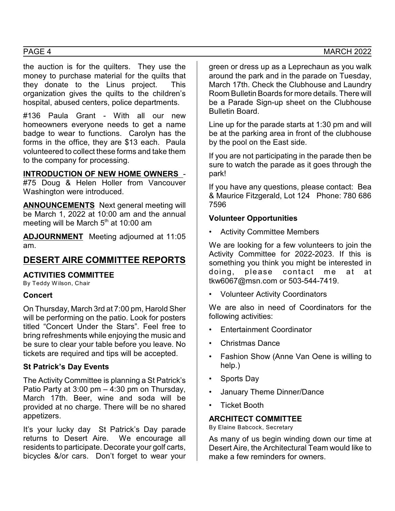the auction is for the quilters. They use the money to purchase material for the quilts that they donate to the Linus project. This organization gives the quilts to the children's hospital, abused centers, police departments.

#136 Paula Grant - With all our new homeowners everyone needs to get a name badge to wear to functions. Carolyn has the forms in the office, they are \$13 each. Paula volunteered to collect these forms and take them to the company for processing.

### **INTRODUCTION OF NEW HOME OWNERS** -

#75 Doug & Helen Holler from Vancouver Washington were introduced.

**ANNOUNCEMENTS** Next general meeting will be March 1, 2022 at 10:00 am and the annual meeting will be March  $5<sup>th</sup>$  at 10:00 am

**ADJOURNMENT** Meeting adjourned at 11:05 am.

# **DESERT AIRE COMMITTEE REPORTS**

#### **ACTIVITIES COMMITTEE**

By Teddy W ilson, Chair

#### **Concert**

On Thursday, March 3rd at 7:00 pm, Harold Sher will be performing on the patio. Look for posters titled "Concert Under the Stars". Feel free to bring refreshments while enjoying the music and be sure to clear your table before you leave. No tickets are required and tips will be accepted.

#### **St Patrick's Day Events**

The Activity Committee is planning a St Patrick's Patio Party at 3:00 pm – 4:30 pm on Thursday, March 17th. Beer, wine and soda will be provided at no charge. There will be no shared appetizers.

It's your lucky day St Patrick's Day parade returns to Desert Aire. We encourage all residents to participate. Decorate your golf carts, bicycles &/or cars. Don't forget to wear your

green or dress up as a Leprechaun as you walk around the park and in the parade on Tuesday, March 17th. Check the Clubhouse and Laundry Room Bulletin Boards for more details. There will be a Parade Sign-up sheet on the Clubhouse Bulletin Board.

Line up for the parade starts at 1:30 pm and will be at the parking area in front of the clubhouse by the pool on the East side.

If you are not participating in the parade then be sure to watch the parade as it goes through the park!

If you have any questions, please contact: Bea & Maurice Fitzgerald, Lot 124 Phone: 780 686 7596

#### **Volunteer Opportunities**

• Activity Committee Members

We are looking for a few volunteers to join the Activity Committee for 2022-2023. If this is something you think you might be interested in doing, please contact me at at tkw6067@msn.com or 503-544-7419.

• Volunteer Activity Coordinators

We are also in need of Coordinators for the following activities:

- Entertainment Coordinator
- Christmas Dance
- Fashion Show (Anne Van Oene is willing to help.)
- Sports Day
- January Theme Dinner/Dance
- Ticket Booth

#### **ARCHITECT COMMITTEE**

By Elaine Babcock, Secretary

As many of us begin winding down our time at Desert Aire, the Architectural Team would like to make a few reminders for owners.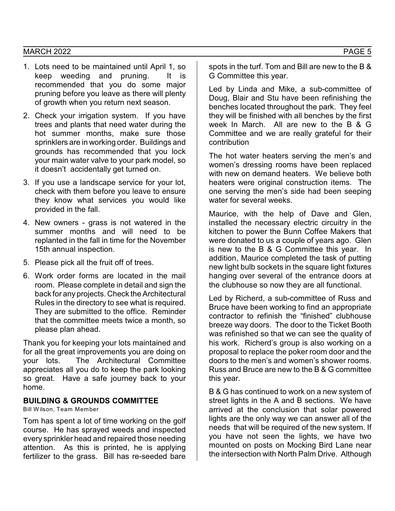#### MARCH 2022 **PAGE 5**

- 1. Lots need to be maintained until April 1, so keep weeding and pruning. It is recommended that you do some major pruning before you leave as there will plenty of growth when you return next season.
- 2. Check your irrigation system. If you have trees and plants that need water during the hot summer months, make sure those sprinklers are in working order. Buildings and grounds has recommended that you lock your main water valve to your park model, so it doesn't accidentally get turned on.
- 3. If you use a landscape service for your lot, check with them before you leave to ensure they know what services you would like provided in the fall.
- 4. New owners grass is not watered in the summer months and will need to be replanted in the fall in time for the November 15th annual inspection.
- 5. Please pick all the fruit off of trees.
- 6. Work order forms are located in the mail room. Please complete in detail and sign the back for any projects. Check the Architectural Rules in the directory to see what is required. They are submitted to the office. Reminder that the committee meets twice a month, so please plan ahead.

Thank you for keeping your lots maintained and for all the great improvements you are doing on your lots. The Architectural Committee appreciates all you do to keep the park looking so great. Have a safe journey back to your home.

#### **BUILDING & GROUNDS COMMITTEE**

Bill W ilson, Team Member

Tom has spent a lot of time working on the golf course. He has sprayed weeds and inspected every sprinkler head and repaired those needing attention. As this is printed, he is applying fertilizer to the grass. Bill has re-seeded bare spots in the turf. Tom and Bill are new to the B & G Committee this year.

Led by Linda and Mike, a sub-committee of Doug, Blair and Stu have been refinishing the benches located throughout the park. They feel they will be finished with all benches by the first week In March. All are new to the B & G Committee and we are really grateful for their contribution

The hot water heaters serving the men's and women's dressing rooms have been replaced with new on demand heaters. We believe both heaters were original construction items. The one serving the men's side had been seeping water for several weeks.

Maurice, with the help of Dave and Glen, installed the necessary electric circuitry in the kitchen to power the Bunn Coffee Makers that were donated to us a couple of years ago. Glen is new to the B & G Committee this year. In addition, Maurice completed the task of putting new light bulb sockets in the square light fixtures hanging over several of the entrance doors at the clubhouse so now they are all functional.

Led by Richerd, a sub-committee of Russ and Bruce have been working to find an appropriate contractor to refinish the "finished" clubhouse breeze way doors. The door to the Ticket Booth was refinished so that we can see the quality of his work. Richerd's group is also working on a proposal to replace the poker room door and the doors to the men's and women's shower rooms. Russ and Bruce are new to the B & G committee this year.

B & G has continued to work on a new system of street lights in the A and B sections. We have arrived at the conclusion that solar powered lights are the only way we can answer all of the needs that will be required of the new system. If you have not seen the lights, we have two mounted on posts on Mocking Bird Lane near the intersection with North Palm Drive. Although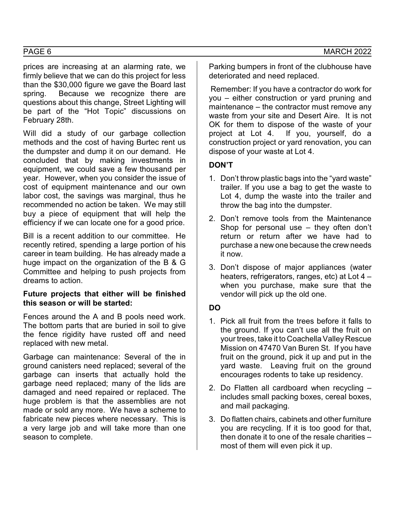prices are increasing at an alarming rate, we firmly believe that we can do this project for less than the \$30,000 figure we gave the Board last spring. Because we recognize there are questions about this change, Street Lighting will be part of the "Hot Topic" discussions on February 28th.

Will did a study of our garbage collection methods and the cost of having Burtec rent us the dumpster and dump it on our demand. He concluded that by making investments in equipment, we could save a few thousand per year. However, when you consider the issue of cost of equipment maintenance and our own labor cost, the savings was marginal, thus he recommended no action be taken. We may still buy a piece of equipment that will help the efficiency if we can locate one for a good price.

Bill is a recent addition to our committee. He recently retired, spending a large portion of his career in team building. He has already made a huge impact on the organization of the B & G Committee and helping to push projects from dreams to action.

#### **Future projects that either will be finished this season or will be started:**

Fences around the A and B pools need work. The bottom parts that are buried in soil to give the fence rigidity have rusted off and need replaced with new metal.

Garbage can maintenance: Several of the in ground canisters need replaced; several of the garbage can inserts that actually hold the garbage need replaced; many of the lids are damaged and need repaired or replaced. The huge problem is that the assemblies are not made or sold any more. We have a scheme to fabricate new pieces where necessary. This is a very large job and will take more than one season to complete.

Parking bumpers in front of the clubhouse have deteriorated and need replaced.

 Remember: If you have a contractor do work for you – either construction or yard pruning and maintenance – the contractor must remove any waste from your site and Desert Aire. It is not OK for them to dispose of the waste of your project at Lot 4. If you, yourself, do a construction project or yard renovation, you can dispose of your waste at Lot 4.

# **DON'T**

- 1. Don't throw plastic bags into the "yard waste" trailer. If you use a bag to get the waste to Lot 4, dump the waste into the trailer and throw the bag into the dumpster.
- 2. Don't remove tools from the Maintenance Shop for personal use – they often don't return or return after we have had to purchase a new one because the crew needs it now.
- 3. Don't dispose of major appliances (water heaters, refrigerators, ranges, etc) at Lot 4 – when you purchase, make sure that the vendor will pick up the old one.

# **DO**

- 1. Pick all fruit from the trees before it falls to the ground. If you can't use all the fruit on your trees, take it to Coachella Valley Rescue Mission on 47470 Van Buren St. If you have fruit on the ground, pick it up and put in the yard waste. Leaving fruit on the ground encourages rodents to take up residency.
- 2. Do Flatten all cardboard when recycling includes small packing boxes, cereal boxes, and mail packaging.
- 3. Do flatten chairs, cabinets and other furniture you are recycling. If it is too good for that, then donate it to one of the resale charities – most of them will even pick it up.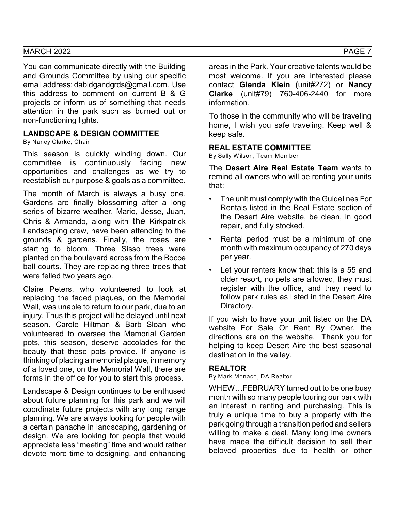#### MARCH 2022 PAGE 7

You can communicate directly with the Building and Grounds Committee by using our specific email address: dabldgandgrds@gmail.com. Use this address to comment on current B & G projects or inform us of something that needs attention in the park such as burned out or non-functioning lights.

### **LANDSCAPE & DESIGN COMMITTEE**

By Nancy Clarke, Chair

This season is quickly winding down. Our committee is continuously facing new opportunities and challenges as we try to reestablish our purpose & goals as a committee.

The month of March is always a busy one. Gardens are finally blossoming after a long series of bizarre weather. Mario, Jesse, Juan, Chris & Armando, along with the Kirkpatrick Landscaping crew, have been attending to the grounds & gardens. Finally, the roses are starting to bloom. Three Sisso trees were planted on the boulevard across from the Bocce ball courts. They are replacing three trees that were felled two years ago.

Claire Peters, who volunteered to look at replacing the faded plaques, on the Memorial Wall, was unable to return to our park, due to an injury. Thus this project will be delayed until next season. Carole Hiltman & Barb Sloan who volunteered to oversee the Memorial Garden pots, this season, deserve accolades for the beauty that these pots provide. If anyone is thinking of placing a memorial plaque, in memory of a loved one, on the Memorial Wall, there are forms in the office for you to start this process.

Landscape & Design continues to be enthused about future planning for this park and we will coordinate future projects with any long range planning. We are always looking for people with a certain panache in landscaping, gardening or design. We are looking for people that would appreciate less "meeting" time and would rather devote more time to designing, and enhancing areas in the Park. Your creative talents would be most welcome. If you are interested please contact **Glenda Klein (**unit#272) or **Nancy Clarke** (unit#79) 760-406-2440 for more information.

To those in the community who will be traveling home, I wish you safe traveling. Keep well & keep safe.

#### **REAL ESTATE COMMITTEE**

By Sally W ilson, Team Member

The **Desert Aire Real Estate Team** wants to remind all owners who will be renting your units that:

- The unit must comply with the Guidelines For Rentals listed in the Real Estate section of the Desert Aire website, be clean, in good repair, and fully stocked.
- Rental period must be a minimum of one month with maximum occupancy of 270 days per year.
- Let your renters know that: this is a 55 and older resort, no pets are allowed, they must register with the office, and they need to follow park rules as listed in the Desert Aire Directory.

If you wish to have your unit listed on the DA website For Sale Or Rent By Owner, the directions are on the website. Thank you for helping to keep Desert Aire the best seasonal destination in the valley.

#### **REALTOR**

By Mark Monaco, DA Realtor

WHEW…FEBRUARY turned out to be one busy month with so many people touring our park with an interest in renting and purchasing. This is truly a unique time to buy a property with the park going through a transition period and sellers willing to make a deal. Many long ime owners have made the difficult decision to sell their beloved properties due to health or other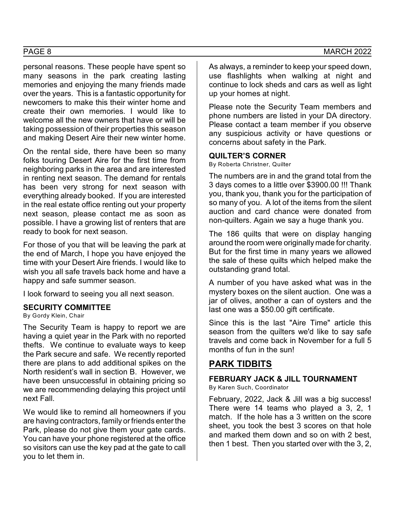personal reasons. These people have spent so many seasons in the park creating lasting memories and enjoying the many friends made over the years. This is a fantastic opportunity for newcomers to make this their winter home and create their own memories. I would like to welcome all the new owners that have or will be taking possession of their properties this season and making Desert Aire their new winter home.

On the rental side, there have been so many folks touring Desert Aire for the first time from neighboring parks in the area and are interested in renting next season. The demand for rentals has been very strong for next season with everything already booked. If you are interested in the real estate office renting out your property next season, please contact me as soon as possible. I have a growing list of renters that are ready to book for next season.

For those of you that will be leaving the park at the end of March, I hope you have enjoyed the time with your Desert Aire friends. I would like to wish you all safe travels back home and have a happy and safe summer season.

I look forward to seeing you all next season.

#### **SECURITY COMMITTEE**

By Gordy Klein, Chair

The Security Team is happy to report we are having a quiet year in the Park with no reported thefts. We continue to evaluate ways to keep the Park secure and safe. We recently reported there are plans to add additional spikes on the North resident's wall in section B. However, we have been unsuccessful in obtaining pricing so we are recommending delaying this project until next Fall.

We would like to remind all homeowners if you are having contractors, family or friends enter the Park, please do not give them your gate cards. You can have your phone registered at the office so visitors can use the key pad at the gate to call you to let them in.

As always, a reminder to keep your speed down, use flashlights when walking at night and continue to lock sheds and cars as well as light up your homes at night.

Please note the Security Team members and phone numbers are listed in your DA directory. Please contact a team member if you observe any suspicious activity or have questions or concerns about safety in the Park.

### **QUILTER'S CORNER**

By Roberta Christner, Quilter

The numbers are in and the grand total from the 3 days comes to a little over \$3900.00 !!! Thank you, thank you, thank you for the participation of so many of you. A lot of the items from the silent auction and card chance were donated from non-quilters. Again we say a huge thank you.

The 186 quilts that were on display hanging around the room were originally made for charity. But for the first time in many years we allowed the sale of these quilts which helped make the outstanding grand total.

A number of you have asked what was in the mystery boxes on the silent auction. One was a jar of olives, another a can of oysters and the last one was a \$50.00 gift certificate.

Since this is the last "Aire Time" article this season from the quilters we'd like to say safe travels and come back in November for a full 5 months of fun in the sun!

# **PARK TIDBITS**

# **FEBRUARY JACK & JILL TOURNAMENT**

By Karen Such, Coordinator

February, 2022, Jack & Jill was a big success! There were 14 teams who played a 3, 2, 1 match. If the hole has a 3 written on the score sheet, you took the best 3 scores on that hole and marked them down and so on with 2 best, then 1 best. Then you started over with the 3, 2,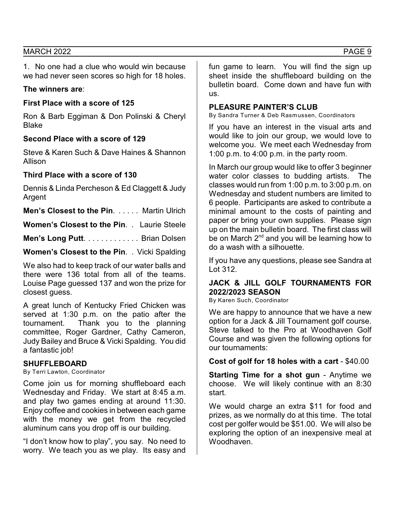#### MARCH 2022 PAGE 9

1. No one had a clue who would win because we had never seen scores so high for 18 holes.

#### **The winners are**:

## **First Place with a score of 125**

Ron & Barb Eggiman & Don Polinski & Cheryl Blake

# **Second Place with a score of 129**

Steve & Karen Such & Dave Haines & Shannon Allison

### **Third Place with a score of 130**

Dennis & Linda Percheson & Ed Claggett & Judy Argent

**Men's Closest to the Pin**. ... . . Martin Ulrich

**Women's Closest to the Pin**. . Laurie Steele

**Men's Long Putt**. ... ... ... ... Brian Dolsen

**Women's Closest to the Pin**. . Vicki Spalding

We also had to keep track of our water balls and there were 136 total from all of the teams. Louise Page guessed 137 and won the prize for closest guess.

A great lunch of Kentucky Fried Chicken was served at 1:30 p.m. on the patio after the tournament. Thank you to the planning committee, Roger Gardner, Cathy Cameron, Judy Bailey and Bruce & Vicki Spalding. You did a fantastic job!

#### **SHUFFLEBOARD**

By Terri Lawton, Coordinator

Come join us for morning shuffleboard each Wednesday and Friday. We start at 8:45 a.m. and play two games ending at around 11:30. Enjoy coffee and cookies in between each game with the money we get from the recycled aluminum cans you drop off is our building.

"I don't know how to play", you say. No need to worry. We teach you as we play. Its easy and fun game to learn. You will find the sign up sheet inside the shuffleboard building on the bulletin board. Come down and have fun with us.

#### **PLEASURE PAINTER'S CLUB**

By Sandra Turner & Deb Rasmussen, Coordinators

If you have an interest in the visual arts and would like to join our group, we would love to welcome you. We meet each Wednesday from 1:00 p.m. to 4:00 p.m. in the party room.

In March our group would like to offer 3 beginner water color classes to budding artists. The classes would run from 1:00 p.m. to 3:00 p.m. on Wednesday and student numbers are limited to 6 people. Participants are asked to contribute a minimal amount to the costs of painting and paper or bring your own supplies. Please sign up on the main bulletin board. The first class will be on March  $2<sup>nd</sup>$  and you will be learning how to do a wash with a silhouette.

If you have any questions, please see Sandra at Lot 312.

# **JACK & JILL GOLF TOURNAMENTS FOR 2022/2023 SEASON**

By Karen Such, Coordinator

We are happy to announce that we have a new option for a Jack & Jill Tournament golf course. Steve talked to the Pro at Woodhaven Golf Course and was given the following options for our tournaments:

# **Cost of golf for 18 holes with a cart** - \$40.00

**Starting Time for a shot gun** - Anytime we choose. We will likely continue with an 8:30 start.

We would charge an extra \$11 for food and prizes, as we normally do at this time. The total cost per golfer would be \$51.00. We will also be exploring the option of an inexpensive meal at Woodhaven.